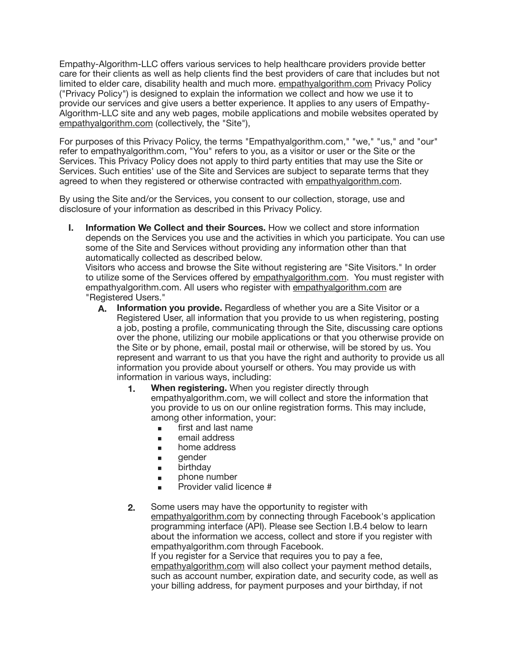Empathy-Algorithm-LLC offers various services to help healthcare providers provide better care for their clients as well as help clients find the best providers of care that includes but not limited to elder care, disability health and much more. [empathyalgorithm.com](http://empathyalgorithm.com) Privacy Policy ("Privacy Policy") is designed to explain the information we collect and how we use it to provide our services and give users a better experience. It applies to any users of Empathy-Algorithm-LLC site and any web pages, mobile applications and mobile websites operated by [empathyalgorithm.com](http://empathyalgorithm.com) (collectively, the "Site"),

For purposes of this Privacy Policy, the terms "Empathyalgorithm.com," "we," "us," and "our" refer to empathyalgorithm.com, "You" refers to you, as a visitor or user or the Site or the Services. This Privacy Policy does not apply to third party entities that may use the Site or Services. Such entities' use of the Site and Services are subject to separate terms that they agreed to when they registered or otherwise contracted with [empathyalgorithm.com](http://empathyalgorithm.com).

By using the Site and/or the Services, you consent to our collection, storage, use and disclosure of your information as described in this Privacy Policy.

**I. Information We Collect and their Sources.** How we collect and store information depends on the Services you use and the activities in which you participate. You can use some of the Site and Services without providing any information other than that automatically collected as described below.

Visitors who access and browse the Site without registering are "Site Visitors." In order to utilize some of the Services offered by [empathyalgorithm.com](http://empathyalgorithm.com). You must register with empathyalgorithm.com. All users who register with [empathyalgorithm.com](http://empathyalgorithm.com) are "Registered Users."

- **A. Information you provide.** Regardless of whether you are a Site Visitor or a Registered User, all information that you provide to us when registering, posting a job, posting a profile, communicating through the Site, discussing care options over the phone, utilizing our mobile applications or that you otherwise provide on the Site or by phone, email, postal mail or otherwise, will be stored by us. You represent and warrant to us that you have the right and authority to provide us all information you provide about yourself or others. You may provide us with information in various ways, including:
	- **1. When registering.** When you register directly through empathyalgorithm.com, we will collect and store the information that you provide to us on our online registration forms. This may include, among other information, your:
		- **■** first and last name
		- email address
		- **▪** home address
		- gender
		- **■** birthday
		- **■** phone number
		- **▪** Provider valid licence #
	- **2.** Some users may have the opportunity to register with [empathyalgorithm.com](http://empathyalgorithm.com) by connecting through Facebook's application programming interface (API). Please see Section I.B.4 below to learn about the information we access, collect and store if you register with empathyalgorithm.com through Facebook. If you register for a Service that requires you to pay a fee,

[empathyalgorithm.com](http://empathyalgorithm.com) will also collect your payment method details, such as account number, expiration date, and security code, as well as your billing address, for payment purposes and your birthday, if not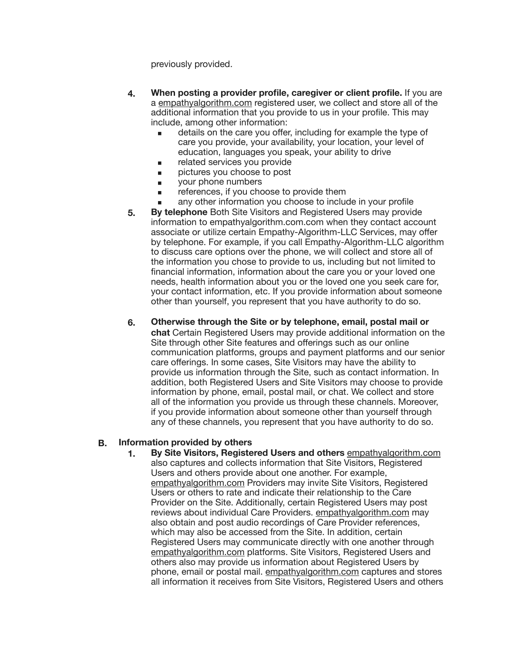previously provided.

- **4. When posting a provider profile, caregiver or client profile.** If you are a [empathyalgorithm.com](http://empathyalgorithm.com) registered user, we collect and store all of the additional information that you provide to us in your profile. This may include, among other information:
	- $\blacksquare$  details on the care you offer, including for example the type of care you provide, your availability, your location, your level of education, languages you speak, your ability to drive
	- related services you provide pictures you choose to post
	- **▪** your phone numbers
	- references, if you choose to provide them
	- any other information you choose to include in your profile
- **5. By telephone** Both Site Visitors and Registered Users may provide information to empathyalgorithm.com.com when they contact account associate or utilize certain Empathy-Algorithm-LLC Services, may offer by telephone. For example, if you call Empathy-Algorithm-LLC algorithm to discuss care options over the phone, we will collect and store all of the information you chose to provide to us, including but not limited to financial information, information about the care you or your loved one needs, health information about you or the loved one you seek care for, your contact information, etc. If you provide information about someone other than yourself, you represent that you have authority to do so.
- **6. Otherwise through the Site or by telephone, email, postal mail or chat** Certain Registered Users may provide additional information on the Site through other Site features and offerings such as our online communication platforms, groups and payment platforms and our senior care offerings. In some cases, Site Visitors may have the ability to provide us information through the Site, such as contact information. In addition, both Registered Users and Site Visitors may choose to provide information by phone, email, postal mail, or chat. We collect and store all of the information you provide us through these channels. Moreover, if you provide information about someone other than yourself through any of these channels, you represent that you have authority to do so.

## **B. Information provided by others**

**1. By Site Visitors, Registered Users and others** [empathyalgorithm.com](http://empathyalgorithm.com) also captures and collects information that Site Visitors, Registered Users and others provide about one another. For example, [empathyalgorithm.com](http://empathyalgorithm.com) Providers may invite Site Visitors, Registered Users or others to rate and indicate their relationship to the Care Provider on the Site. Additionally, certain Registered Users may post reviews about individual Care Providers. [empathyalgorithm.com](http://empathyalgorithm.com) may also obtain and post audio recordings of Care Provider references, which may also be accessed from the Site. In addition, certain Registered Users may communicate directly with one another through [empathyalgorithm.com](http://empathyalgorithm.com) platforms. Site Visitors, Registered Users and others also may provide us information about Registered Users by phone, email or postal mail. [empathyalgorithm.com](http://empathyalgorithm.com) captures and stores all information it receives from Site Visitors, Registered Users and others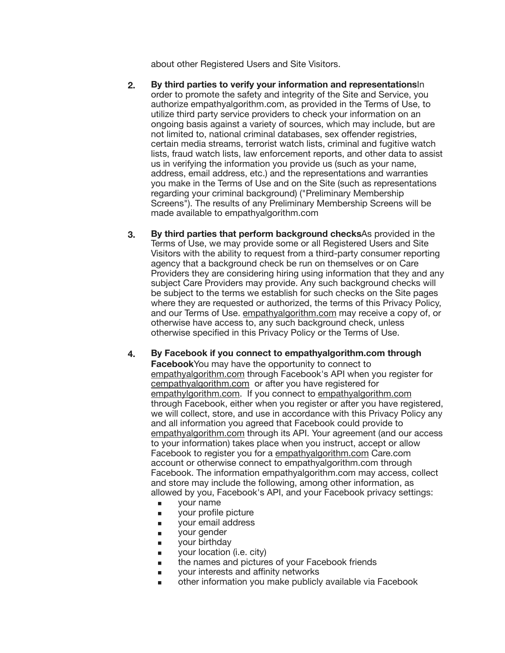about other Registered Users and Site Visitors.

- **2. By third parties to verify your information and representations**In order to promote the safety and integrity of the Site and Service, you authorize empathyalgorithm.com, as provided in the Terms of Use, to utilize third party service providers to check your information on an ongoing basis against a variety of sources, which may include, but are not limited to, national criminal databases, sex offender registries, certain media streams, terrorist watch lists, criminal and fugitive watch lists, fraud watch lists, law enforcement reports, and other data to assist us in verifying the information you provide us (such as your name, address, email address, etc.) and the representations and warranties you make in the Terms of Use and on the Site (such as representations regarding your criminal background) ("Preliminary Membership Screens"). The results of any Preliminary Membership Screens will be made available to empathyalgorithm.com
- **3. By third parties that perform background checks**As provided in the Terms of Use, we may provide some or all Registered Users and Site Visitors with the ability to request from a third-party consumer reporting agency that a background check be run on themselves or on Care Providers they are considering hiring using information that they and any subject Care Providers may provide. Any such background checks will be subject to the terms we establish for such checks on the Site pages where they are requested or authorized, the terms of this Privacy Policy, and our Terms of Use. [empathyalgorithm.com](http://empathyalgorithm.com) may receive a copy of, or otherwise have access to, any such background check, unless otherwise specified in this Privacy Policy or the Terms of Use.
- **4. By Facebook if you connect to empathyalgorithm.com through Facebook**You may have the opportunity to connect to [empathyalgorithm.com](http://empathyalgorithm.com) through Facebook's API when you register for [cempathyalgorithm.com](http://cempathyalgorithm.com) or after you have registered for [empathylgorithm.com.](http://empathylgorithm.com) If you connect to [empathyalgorithm.com](http://empathyalgorithm.com) through Facebook, either when you register or after you have registered, we will collect, store, and use in accordance with this Privacy Policy any and all information you agreed that Facebook could provide to [empathyalgorithm.com](http://empathyalgorithm.com) through its API. Your agreement (and our access to your information) takes place when you instruct, accept or allow Facebook to register you for a [empathyalgorithm.com](http://empathyalgorithm.com) Care.com account or otherwise connect to empathyalgorithm.com through Facebook. The information empathyalgorithm.com may access, collect and store may include the following, among other information, as allowed by you, Facebook's API, and your Facebook privacy settings:
	- **▪** your name
	- **■** your profile picture
	- **▪** your email address
	- **▪** your gender
	- **▪** your birthday
	- **■** your location (i.e. city)
	- **■** the names and pictures of your Facebook friends
	- **▪** your interests and affinity networks
	- other information you make publicly available via Facebook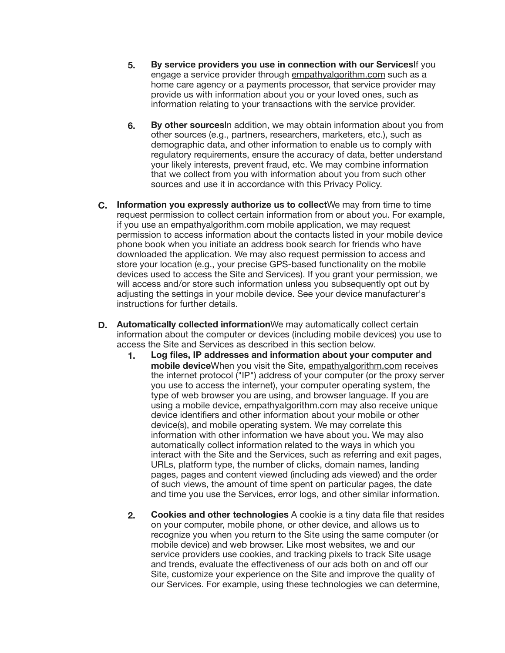- **5. By service providers you use in connection with our Services**If you engage a service provider through [empathyalgorithm.com](http://empathyalgorithm.com) such as a home care agency or a payments processor, that service provider may provide us with information about you or your loved ones, such as information relating to your transactions with the service provider.
- **6. By other sources**In addition, we may obtain information about you from other sources (e.g., partners, researchers, marketers, etc.), such as demographic data, and other information to enable us to comply with regulatory requirements, ensure the accuracy of data, better understand your likely interests, prevent fraud, etc. We may combine information that we collect from you with information about you from such other sources and use it in accordance with this Privacy Policy.
- **C. Information you expressly authorize us to collect**We may from time to time request permission to collect certain information from or about you. For example, if you use an empathyalgorithm.com mobile application, we may request permission to access information about the contacts listed in your mobile device phone book when you initiate an address book search for friends who have downloaded the application. We may also request permission to access and store your location (e.g., your precise GPS-based functionality on the mobile devices used to access the Site and Services). If you grant your permission, we will access and/or store such information unless you subsequently opt out by adjusting the settings in your mobile device. See your device manufacturer's instructions for further details.
- **D. Automatically collected information**We may automatically collect certain information about the computer or devices (including mobile devices) you use to access the Site and Services as described in this section below.
	- **1. Log files, IP addresses and information about your computer and mobile device**When you visit the Site, [empathyalgorithm.com](http://empathyalgorithm.com) receives the internet protocol ("IP") address of your computer (or the proxy server you use to access the internet), your computer operating system, the type of web browser you are using, and browser language. If you are using a mobile device, empathyalgorithm.com may also receive unique device identifiers and other information about your mobile or other device(s), and mobile operating system. We may correlate this information with other information we have about you. We may also automatically collect information related to the ways in which you interact with the Site and the Services, such as referring and exit pages, URLs, platform type, the number of clicks, domain names, landing pages, pages and content viewed (including ads viewed) and the order of such views, the amount of time spent on particular pages, the date and time you use the Services, error logs, and other similar information.
	- **2. Cookies and other technologies** A cookie is a tiny data file that resides on your computer, mobile phone, or other device, and allows us to recognize you when you return to the Site using the same computer (or mobile device) and web browser. Like most websites, we and our service providers use cookies, and tracking pixels to track Site usage and trends, evaluate the effectiveness of our ads both on and off our Site, customize your experience on the Site and improve the quality of our Services. For example, using these technologies we can determine,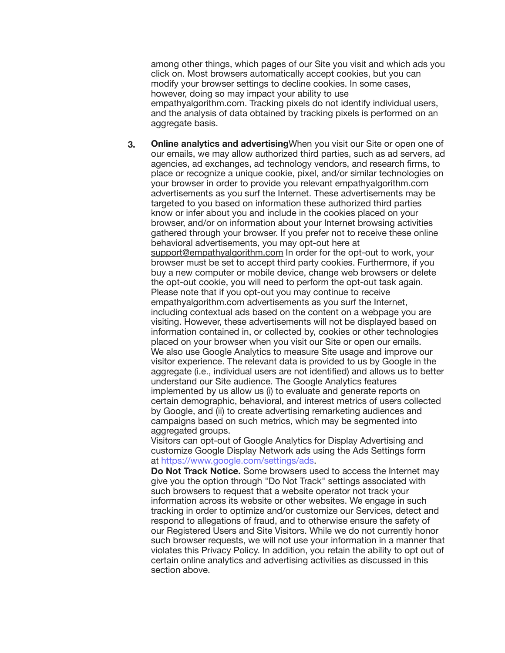among other things, which pages of our Site you visit and which ads you click on. Most browsers automatically accept cookies, but you can modify your browser settings to decline cookies. In some cases, however, doing so may impact your ability to use empathyalgorithm.com. Tracking pixels do not identify individual users, and the analysis of data obtained by tracking pixels is performed on an aggregate basis.

**3. Online analytics and advertising**When you visit our Site or open one of our emails, we may allow authorized third parties, such as ad servers, ad agencies, ad exchanges, ad technology vendors, and research firms, to place or recognize a unique cookie, pixel, and/or similar technologies on your browser in order to provide you relevant empathyalgorithm.com advertisements as you surf the Internet. These advertisements may be targeted to you based on information these authorized third parties know or infer about you and include in the cookies placed on your browser, and/or on information about your Internet browsing activities gathered through your browser. If you prefer not to receive these online behavioral advertisements, you may opt-out here at [support@empathyalgorithm.com](mailto:support@empathyalgorithm.com) In order for the opt-out to work, your browser must be set to accept third party cookies. Furthermore, if you buy a new computer or mobile device, change web browsers or delete the opt-out cookie, you will need to perform the opt-out task again. Please note that if you opt-out you may continue to receive empathyalgorithm.com advertisements as you surf the Internet, including contextual ads based on the content on a webpage you are visiting. However, these advertisements will not be displayed based on information contained in, or collected by, cookies or other technologies placed on your browser when you visit our Site or open our emails. We also use Google Analytics to measure Site usage and improve our visitor experience. The relevant data is provided to us by Google in the aggregate (i.e., individual users are not identified) and allows us to better understand our Site audience. The Google Analytics features implemented by us allow us (i) to evaluate and generate reports on certain demographic, behavioral, and interest metrics of users collected by Google, and (ii) to create advertising remarketing audiences and campaigns based on such metrics, which may be segmented into aggregated groups.

Visitors can opt-out of Google Analytics for Display Advertising and customize Google Display Network ads using the Ads Settings form at [https://www.google.com/settings/ads.](https://www.google.com/settings/ads)

**Do Not Track Notice.** Some browsers used to access the Internet may give you the option through "Do Not Track" settings associated with such browsers to request that a website operator not track your information across its website or other websites. We engage in such tracking in order to optimize and/or customize our Services, detect and respond to allegations of fraud, and to otherwise ensure the safety of our Registered Users and Site Visitors. While we do not currently honor such browser requests, we will not use your information in a manner that violates this Privacy Policy. In addition, you retain the ability to opt out of certain online analytics and advertising activities as discussed in this section above.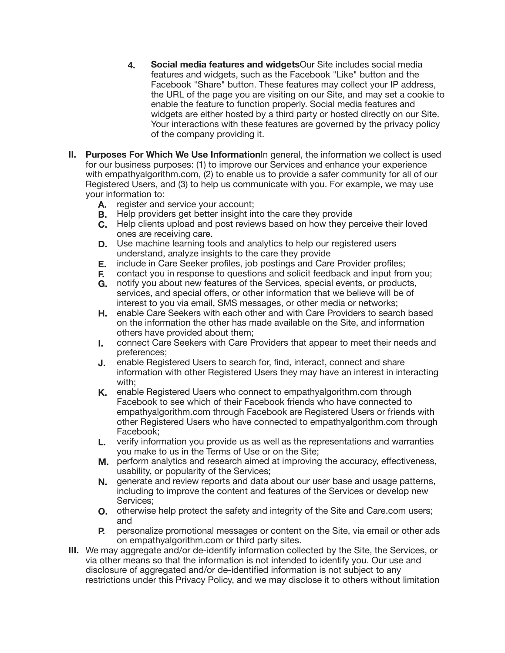- **4. Social media features and widgets**Our Site includes social media features and widgets, such as the Facebook "Like" button and the Facebook "Share" button. These features may collect your IP address, the URL of the page you are visiting on our Site, and may set a cookie to enable the feature to function properly. Social media features and widgets are either hosted by a third party or hosted directly on our Site. Your interactions with these features are governed by the privacy policy of the company providing it.
- **II. Purposes For Which We Use Information**In general, the information we collect is used for our business purposes: (1) to improve our Services and enhance your experience with empathyalgorithm.com, (2) to enable us to provide a safer community for all of our Registered Users, and (3) to help us communicate with you. For example, we may use your information to:
	- **A.** register and service your account;
	- **B.** Help providers get better insight into the care they provide
	- **C.** Help clients upload and post reviews based on how they perceive their loved ones are receiving care.
	- **D.** Use machine learning tools and analytics to help our registered users understand, analyze insights to the care they provide
	- **E.** include in Care Seeker profiles, job postings and Care Provider profiles;
	- **F.** contact you in response to questions and solicit feedback and input from you;
	- **G.** notify you about new features of the Services, special events, or products, services, and special offers, or other information that we believe will be of interest to you via email, SMS messages, or other media or networks;
	- **H.** enable Care Seekers with each other and with Care Providers to search based on the information the other has made available on the Site, and information others have provided about them;
	- **I.** connect Care Seekers with Care Providers that appear to meet their needs and preferences;
	- **J.** enable Registered Users to search for, find, interact, connect and share information with other Registered Users they may have an interest in interacting with;
	- **K.** enable Registered Users who connect to empathyalgorithm.com through Facebook to see which of their Facebook friends who have connected to empathyalgorithm.com through Facebook are Registered Users or friends with other Registered Users who have connected to empathyalgorithm.com through Facebook;
	- **L.** verify information you provide us as well as the representations and warranties you make to us in the Terms of Use or on the Site;
	- **M.** perform analytics and research aimed at improving the accuracy, effectiveness, usability, or popularity of the Services;
	- **N.** generate and review reports and data about our user base and usage patterns, including to improve the content and features of the Services or develop new Services;
	- **O.** otherwise help protect the safety and integrity of the Site and Care.com users; and
	- **P.** personalize promotional messages or content on the Site, via email or other ads on empathyalgorithm.com or third party sites.
- **III.** We may aggregate and/or de-identify information collected by the Site, the Services, or via other means so that the information is not intended to identify you. Our use and disclosure of aggregated and/or de-identified information is not subject to any restrictions under this Privacy Policy, and we may disclose it to others without limitation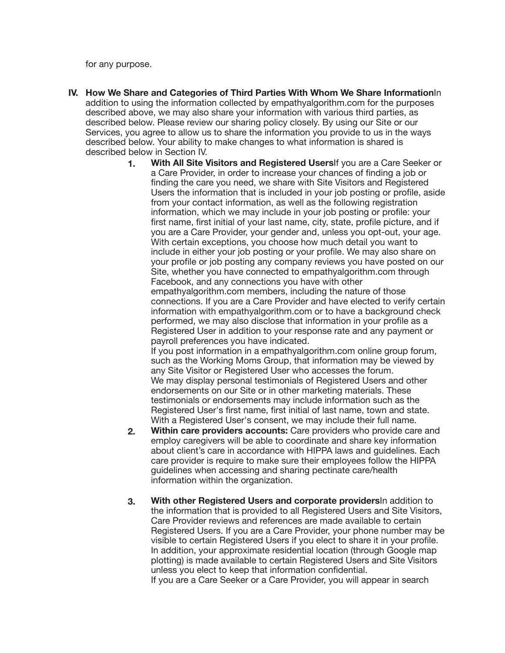for any purpose.

- **IV. How We Share and Categories of Third Parties With Whom We Share Information**In addition to using the information collected by empathyalgorithm.com for the purposes described above, we may also share your information with various third parties, as described below. Please review our sharing policy closely. By using our Site or our Services, you agree to allow us to share the information you provide to us in the ways described below. Your ability to make changes to what information is shared is described below in Section IV.
	- **1. With All Site Visitors and Registered Users**If you are a Care Seeker or a Care Provider, in order to increase your chances of finding a job or finding the care you need, we share with Site Visitors and Registered Users the information that is included in your job posting or profile, aside from your contact information, as well as the following registration information, which we may include in your job posting or profile: your first name, first initial of your last name, city, state, profile picture, and if you are a Care Provider, your gender and, unless you opt-out, your age. With certain exceptions, you choose how much detail you want to include in either your job posting or your profile. We may also share on your profile or job posting any company reviews you have posted on our Site, whether you have connected to empathyalgorithm.com through Facebook, and any connections you have with other empathyalgorithm.com members, including the nature of those connections. If you are a Care Provider and have elected to verify certain information with empathyalgorithm.com or to have a background check performed, we may also disclose that information in your profile as a Registered User in addition to your response rate and any payment or payroll preferences you have indicated. If you post information in a empathyalgorithm.com online group forum,

such as the Working Moms Group, that information may be viewed by any Site Visitor or Registered User who accesses the forum. We may display personal testimonials of Registered Users and other endorsements on our Site or in other marketing materials. These testimonials or endorsements may include information such as the Registered User's first name, first initial of last name, town and state. With a Registered User's consent, we may include their full name.

- **2. Within care providers accounts:** Care providers who provide care and employ caregivers will be able to coordinate and share key information about client's care in accordance with HIPPA laws and guidelines. Each care provider is require to make sure their employees follow the HIPPA guidelines when accessing and sharing pectinate care/health information within the organization.
- **3. With other Registered Users and corporate providers**In addition to the information that is provided to all Registered Users and Site Visitors, Care Provider reviews and references are made available to certain Registered Users. If you are a Care Provider, your phone number may be visible to certain Registered Users if you elect to share it in your profile. In addition, your approximate residential location (through Google map plotting) is made available to certain Registered Users and Site Visitors unless you elect to keep that information confidential. If you are a Care Seeker or a Care Provider, you will appear in search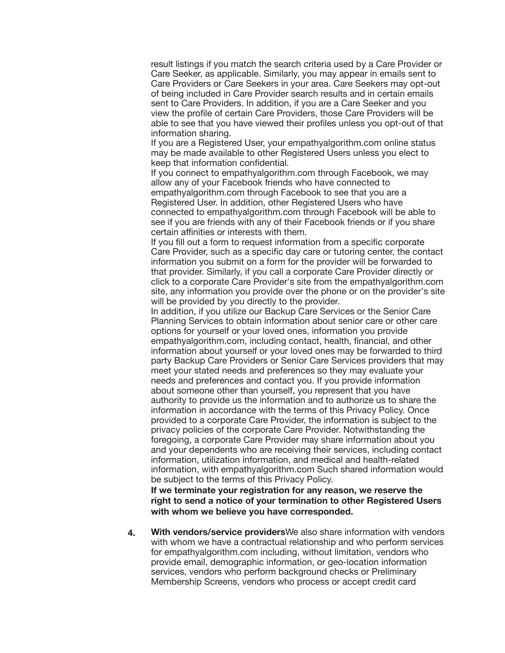result listings if you match the search criteria used by a Care Provider or Care Seeker, as applicable. Similarly, you may appear in emails sent to Care Providers or Care Seekers in your area. Care Seekers may opt-out of being included in Care Provider search results and in certain emails sent to Care Providers. In addition, if you are a Care Seeker and you view the profile of certain Care Providers, those Care Providers will be able to see that you have viewed their profiles unless you opt-out of that information sharing.

If you are a Registered User, your empathyalgorithm.com online status may be made available to other Registered Users unless you elect to keep that information confidential.

If you connect to empathyalgorithm.com through Facebook, we may allow any of your Facebook friends who have connected to empathyalgorithm.com through Facebook to see that you are a Registered User. In addition, other Registered Users who have connected to empathyalgorithm.com through Facebook will be able to see if you are friends with any of their Facebook friends or if you share certain affinities or interests with them.

If you fill out a form to request information from a specific corporate Care Provider, such as a specific day care or tutoring center, the contact information you submit on a form for the provider will be forwarded to that provider. Similarly, if you call a corporate Care Provider directly or click to a corporate Care Provider's site from the empathyalgorithm.com site, any information you provide over the phone or on the provider's site will be provided by you directly to the provider.

In addition, if you utilize our Backup Care Services or the Senior Care Planning Services to obtain information about senior care or other care options for yourself or your loved ones, information you provide empathyalgorithm.com, including contact, health, financial, and other information about yourself or your loved ones may be forwarded to third party Backup Care Providers or Senior Care Services providers that may meet your stated needs and preferences so they may evaluate your needs and preferences and contact you. If you provide information about someone other than yourself, you represent that you have authority to provide us the information and to authorize us to share the information in accordance with the terms of this Privacy Policy. Once provided to a corporate Care Provider, the information is subject to the privacy policies of the corporate Care Provider. Notwithstanding the foregoing, a corporate Care Provider may share information about you and your dependents who are receiving their services, including contact information, utilization information, and medical and health-related information, with empathyalgorithm.com Such shared information would be subject to the terms of this Privacy Policy.

**If we terminate your registration for any reason, we reserve the right to send a notice of your termination to other Registered Users with whom we believe you have corresponded.**

**4. With vendors/service providers**We also share information with vendors with whom we have a contractual relationship and who perform services for empathyalgorithm.com including, without limitation, vendors who provide email, demographic information, or geo-location information services, vendors who perform background checks or Preliminary Membership Screens, vendors who process or accept credit card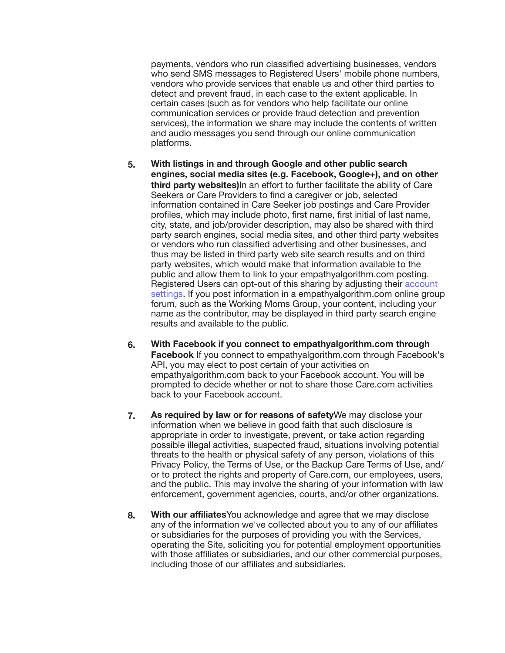payments, vendors who run classified advertising businesses, vendors who send SMS messages to Registered Users' mobile phone numbers. vendors who provide services that enable us and other third parties to detect and prevent fraud, in each case to the extent applicable. In certain cases (such as for vendors who help facilitate our online communication services or provide fraud detection and prevention services), the information we share may include the contents of written and audio messages you send through our online communication platforms.

- **5. With listings in and through Google and other public search engines, social media sites (e.g. Facebook, Google+), and on other third party websites)**In an effort to further facilitate the ability of Care Seekers or Care Providers to find a caregiver or job, selected information contained in Care Seeker job postings and Care Provider profiles, which may include photo, first name, first initial of last name, city, state, and job/provider description, may also be shared with third party search engines, social media sites, and other third party websites or vendors who run classified advertising and other businesses, and thus may be listed in third party web site search results and on third party websites, which would make that information available to the public and allow them to link to your empathyalgorithm.com posting. Registered Users can opt-out of this sharing by adjusting their [account](https://www.care.com/account-preferences-p1016.html)  [settings.](https://www.care.com/account-preferences-p1016.html) If you post information in a empathyalgorithm.com online group forum, such as the Working Moms Group, your content, including your name as the contributor, may be displayed in third party search engine results and available to the public.
- **6. With Facebook if you connect to empathyalgorithm.com through Facebook** If you connect to empathyalgorithm.com through Facebook's API, you may elect to post certain of your activities on empathyalgorithm.com back to your Facebook account. You will be prompted to decide whether or not to share those Care.com activities back to your Facebook account.
- **7. As required by law or for reasons of safety**We may disclose your information when we believe in good faith that such disclosure is appropriate in order to investigate, prevent, or take action regarding possible illegal activities, suspected fraud, situations involving potential threats to the health or physical safety of any person, violations of this Privacy Policy, the Terms of Use, or the Backup Care Terms of Use, and/ or to protect the rights and property of Care.com, our employees, users, and the public. This may involve the sharing of your information with law enforcement, government agencies, courts, and/or other organizations.
- **8. With our affiliates**You acknowledge and agree that we may disclose any of the information we've collected about you to any of our affiliates or subsidiaries for the purposes of providing you with the Services, operating the Site, soliciting you for potential employment opportunities with those affiliates or subsidiaries, and our other commercial purposes, including those of our affiliates and subsidiaries.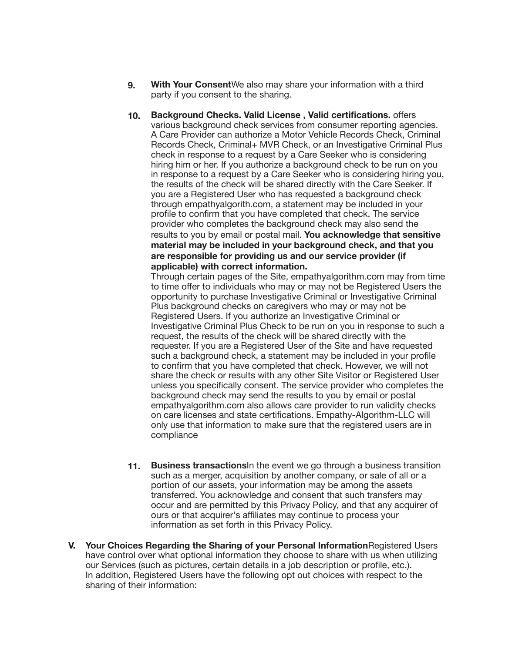- **9. With Your Consent**We also may share your information with a third party if you consent to the sharing.
- **10. Background Checks. Valid License , Valid certifications.** offers various background check services from consumer reporting agencies. A Care Provider can authorize a Motor Vehicle Records Check, Criminal Records Check, Criminal+ MVR Check, or an Investigative Criminal Plus check in response to a request by a Care Seeker who is considering hiring him or her. If you authorize a background check to be run on you in response to a request by a Care Seeker who is considering hiring you, the results of the check will be shared directly with the Care Seeker. If you are a Registered User who has requested a background check through empathyalgorith.com, a statement may be included in your profile to confirm that you have completed that check. The service provider who completes the background check may also send the results to you by email or postal mail. **You acknowledge that sensitive material may be included in your background check, and that you are responsible for providing us and our service provider (if applicable) with correct information.**

Through certain pages of the Site, empathyalgorithm.com may from time to time offer to individuals who may or may not be Registered Users the opportunity to purchase Investigative Criminal or Investigative Criminal Plus background checks on caregivers who may or may not be Registered Users. If you authorize an Investigative Criminal or Investigative Criminal Plus Check to be run on you in response to such a request, the results of the check will be shared directly with the requester. If you are a Registered User of the Site and have requested such a background check, a statement may be included in your profile to confirm that you have completed that check. However, we will not share the check or results with any other Site Visitor or Registered User unless you specifically consent. The service provider who completes the background check may send the results to you by email or postal empathyalgorithm.com also allows care provider to run validity checks on care licenses and state certifications. Empathy-Algorithm-LLC will only use that information to make sure that the registered users are in compliance

- **11. Business transactions**In the event we go through a business transition such as a merger, acquisition by another company, or sale of all or a portion of our assets, your information may be among the assets transferred. You acknowledge and consent that such transfers may occur and are permitted by this Privacy Policy, and that any acquirer of ours or that acquirer's affiliates may continue to process your information as set forth in this Privacy Policy.
- **V. Your Choices Regarding the Sharing of your Personal Information**Registered Users have control over what optional information they choose to share with us when utilizing our Services (such as pictures, certain details in a job description or profile, etc.). In addition, Registered Users have the following opt out choices with respect to the sharing of their information: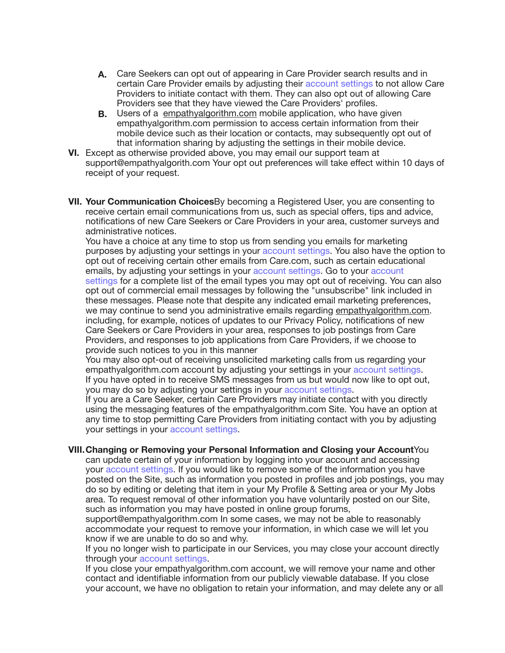- **A.** Care Seekers can opt out of appearing in Care Provider search results and in certain Care Provider emails by adjusting their account settings to not allow Care Providers to initiate contact with them. They can also opt out of allowing Care Providers see that they have viewed the Care Providers' profiles.
- **B.** Users of a [empathyalgorithm.com](http://empathyalgorithm.com) mobile application, who have given empathyalgorithm.com permission to access certain information from their mobile device such as their location or contacts, may subsequently opt out of that information sharing by adjusting the settings in their mobile device.
- **VI.** Except as otherwise provided above, you may email our support team at support@empathyalgorith.com Your opt out preferences will take effect within 10 days of receipt of your request.
- **VII. Your Communication Choices**By becoming a Registered User, you are consenting to receive certain email communications from us, such as special offers, tips and advice, notifications of new Care Seekers or Care Providers in your area, customer surveys and administrative notices.

You have a choice at any time to stop us from sending you emails for marketing purposes by adjusting your settings in your account settings. You also have the option to opt out of receiving certain other emails from Care.com, such as certain educational emails, by adjusting your settings in your account settings. Go to your account settings for a complete list of the email types you may opt out of receiving. You can also opt out of commercial email messages by following the "unsubscribe" link included in these messages. Please note that despite any indicated email marketing preferences, we may continue to send you administrative emails regarding [empathyalgorithm.com.](http://empathyalgorithm.com) including, for example, notices of updates to our Privacy Policy, notifications of new Care Seekers or Care Providers in your area, responses to job postings from Care Providers, and responses to job applications from Care Providers, if we choose to provide such notices to you in this manner

You may also opt-out of receiving unsolicited marketing calls from us regarding your empathyalgorithm.com account by adjusting your settings in your account settings. If you have opted in to receive SMS messages from us but would now like to opt out, you may do so by adjusting your settings in your account settings.

If you are a Care Seeker, certain Care Providers may initiate contact with you directly using the messaging features of the empathyalgorithm.com Site. You have an option at any time to stop permitting Care Providers from initiating contact with you by adjusting your settings in your account settings.

## **VIII.Changing or Removing your Personal Information and Closing your Account**You

can update certain of your information by logging into your account and accessing your account settings. If you would like to remove some of the information you have posted on the Site, such as information you posted in profiles and job postings, you may do so by editing or deleting that item in your My Profile & Setting area or your My Jobs area. To request removal of other information you have voluntarily posted on our Site, such as information you may have posted in online group forums,

support@empathyalgorithm.com In some cases, we may not be able to reasonably accommodate your request to remove your information, in which case we will let you know if we are unable to do so and why.

If you no longer wish to participate in our Services, you may close your account directly through your account settings.

If you close your empathyalgorithm.com account, we will remove your name and other contact and identifiable information from our publicly viewable database. If you close your account, we have no obligation to retain your information, and may delete any or all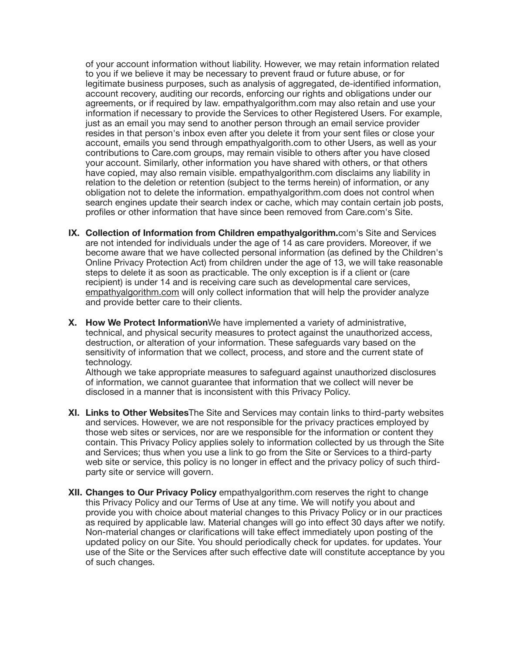of your account information without liability. However, we may retain information related to you if we believe it may be necessary to prevent fraud or future abuse, or for legitimate business purposes, such as analysis of aggregated, de-identified information, account recovery, auditing our records, enforcing our rights and obligations under our agreements, or if required by law. empathyalgorithm.com may also retain and use your information if necessary to provide the Services to other Registered Users. For example, just as an email you may send to another person through an email service provider resides in that person's inbox even after you delete it from your sent files or close your account, emails you send through empathyalgorith.com to other Users, as well as your contributions to Care.com groups, may remain visible to others after you have closed your account. Similarly, other information you have shared with others, or that others have copied, may also remain visible. empathyalgorithm.com disclaims any liability in relation to the deletion or retention (subject to the terms herein) of information, or any obligation not to delete the information. empathyalgorithm.com does not control when search engines update their search index or cache, which may contain certain job posts, profiles or other information that have since been removed from Care.com's Site.

- **IX. Collection of Information from Children empathyalgorithm.**com's Site and Services are not intended for individuals under the age of 14 as care providers. Moreover, if we become aware that we have collected personal information (as defined by the Children's Online Privacy Protection Act) from children under the age of 13, we will take reasonable steps to delete it as soon as practicable. The only exception is if a client or (care recipient) is under 14 and is receiving care such as developmental care services, [empathyalgorithm.com](http://empathyalgorithm.com) will only collect information that will help the provider analyze and provide better care to their clients.
- **X. How We Protect Information**We have implemented a variety of administrative, technical, and physical security measures to protect against the unauthorized access, destruction, or alteration of your information. These safeguards vary based on the sensitivity of information that we collect, process, and store and the current state of technology.

Although we take appropriate measures to safeguard against unauthorized disclosures of information, we cannot guarantee that information that we collect will never be disclosed in a manner that is inconsistent with this Privacy Policy.

- **XI. Links to Other Websites**The Site and Services may contain links to third-party websites and services. However, we are not responsible for the privacy practices employed by those web sites or services, nor are we responsible for the information or content they contain. This Privacy Policy applies solely to information collected by us through the Site and Services; thus when you use a link to go from the Site or Services to a third-party web site or service, this policy is no longer in effect and the privacy policy of such thirdparty site or service will govern.
- **XII. Changes to Our Privacy Policy** empathyalgorithm.com reserves the right to change this Privacy Policy and our Terms of Use at any time. We will notify you about and provide you with choice about material changes to this Privacy Policy or in our practices as required by applicable law. Material changes will go into effect 30 days after we notify. Non-material changes or clarifications will take effect immediately upon posting of the updated policy on our Site. You should periodically check for updates. for updates. Your use of the Site or the Services after such effective date will constitute acceptance by you of such changes.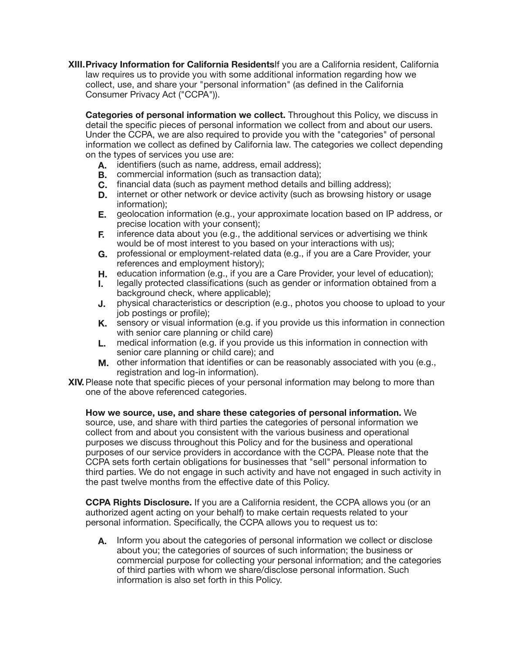**XIII.Privacy Information for California Residents**If you are a California resident, California law requires us to provide you with some additional information regarding how we collect, use, and share your "personal information" (as defined in the California Consumer Privacy Act ("CCPA")).

**Categories of personal information we collect.** Throughout this Policy, we discuss in detail the specific pieces of personal information we collect from and about our users. Under the CCPA, we are also required to provide you with the "categories" of personal information we collect as defined by California law. The categories we collect depending on the types of services you use are:

- **A.** identifiers (such as name, address, email address);
- **B.** commercial information (such as transaction data);
- **C.** financial data (such as payment method details and billing address);
- **D.** internet or other network or device activity (such as browsing history or usage information);
- **E.** geolocation information (e.g., your approximate location based on IP address, or precise location with your consent);
- **F.** inference data about you (e.g., the additional services or advertising we think would be of most interest to you based on your interactions with us);
- **G.** professional or employment-related data (e.g., if you are a Care Provider, your references and employment history);
- **H.** education information (e.g., if you are a Care Provider, your level of education);
- **I.** legally protected classifications (such as gender or information obtained from a background check, where applicable);
- **J.** physical characteristics or description (e.g., photos you choose to upload to your job postings or profile);
- **K.** sensory or visual information (e.g. if you provide us this information in connection with senior care planning or child care)
- **L.** medical information (e.g. if you provide us this information in connection with senior care planning or child care); and
- **M.** other information that identifies or can be reasonably associated with you (e.g., registration and log-in information).
- **XIV.**Please note that specific pieces of your personal information may belong to more than one of the above referenced categories.

**How we source, use, and share these categories of personal information.** We source, use, and share with third parties the categories of personal information we collect from and about you consistent with the various business and operational purposes we discuss throughout this Policy and for the business and operational purposes of our service providers in accordance with the CCPA. Please note that the CCPA sets forth certain obligations for businesses that "sell" personal information to third parties. We do not engage in such activity and have not engaged in such activity in the past twelve months from the effective date of this Policy.

**CCPA Rights Disclosure.** If you are a California resident, the CCPA allows you (or an authorized agent acting on your behalf) to make certain requests related to your personal information. Specifically, the CCPA allows you to request us to:

**A.** Inform you about the categories of personal information we collect or disclose about you; the categories of sources of such information; the business or commercial purpose for collecting your personal information; and the categories of third parties with whom we share/disclose personal information. Such information is also set forth in this Policy.